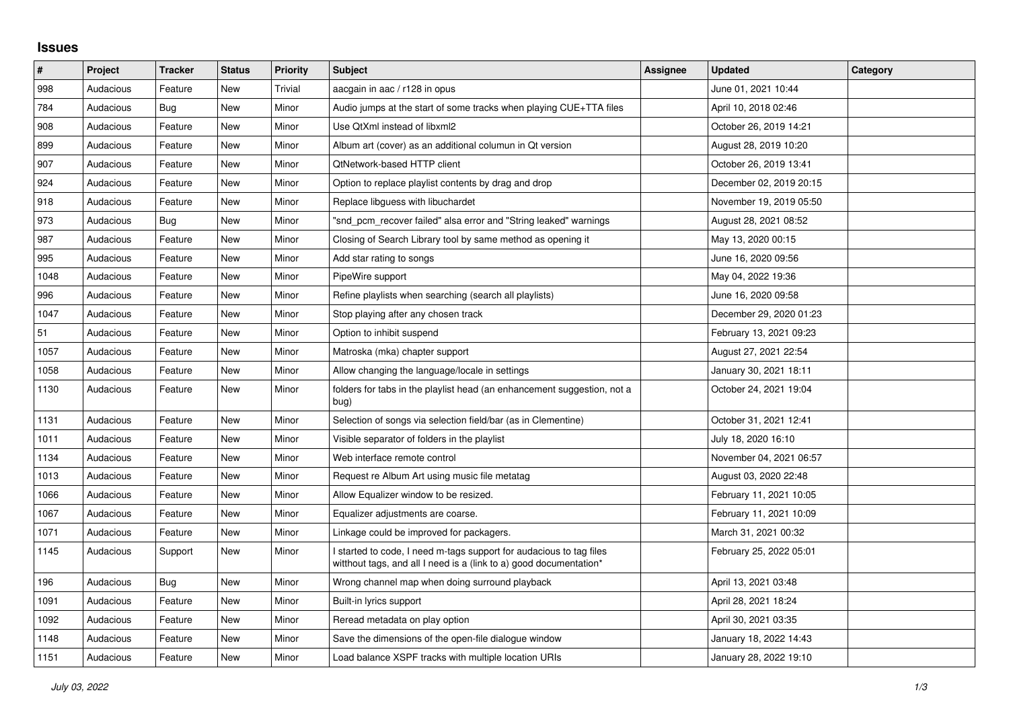## **Issues**

| $\vert$ # | Project   | <b>Tracker</b> | <b>Status</b> | <b>Priority</b> | <b>Subject</b>                                                                                                                            | Assignee | <b>Updated</b>          | Category |
|-----------|-----------|----------------|---------------|-----------------|-------------------------------------------------------------------------------------------------------------------------------------------|----------|-------------------------|----------|
| 998       | Audacious | Feature        | <b>New</b>    | Trivial         | aacgain in aac / r128 in opus                                                                                                             |          | June 01, 2021 10:44     |          |
| 784       | Audacious | <b>Bug</b>     | <b>New</b>    | Minor           | Audio jumps at the start of some tracks when playing CUE+TTA files                                                                        |          | April 10, 2018 02:46    |          |
| 908       | Audacious | Feature        | New           | Minor           | Use QtXml instead of libxml2                                                                                                              |          | October 26, 2019 14:21  |          |
| 899       | Audacious | Feature        | <b>New</b>    | Minor           | Album art (cover) as an additional columun in Qt version                                                                                  |          | August 28, 2019 10:20   |          |
| 907       | Audacious | Feature        | <b>New</b>    | Minor           | QtNetwork-based HTTP client                                                                                                               |          | October 26, 2019 13:41  |          |
| 924       | Audacious | Feature        | New           | Minor           | Option to replace playlist contents by drag and drop                                                                                      |          | December 02, 2019 20:15 |          |
| 918       | Audacious | Feature        | New           | Minor           | Replace libguess with libuchardet                                                                                                         |          | November 19, 2019 05:50 |          |
| 973       | Audacious | Bug            | <b>New</b>    | Minor           | "snd_pcm_recover failed" alsa error and "String leaked" warnings                                                                          |          | August 28, 2021 08:52   |          |
| 987       | Audacious | Feature        | New           | Minor           | Closing of Search Library tool by same method as opening it                                                                               |          | May 13, 2020 00:15      |          |
| 995       | Audacious | Feature        | <b>New</b>    | Minor           | Add star rating to songs                                                                                                                  |          | June 16, 2020 09:56     |          |
| 1048      | Audacious | Feature        | New           | Minor           | PipeWire support                                                                                                                          |          | May 04, 2022 19:36      |          |
| 996       | Audacious | Feature        | New           | Minor           | Refine playlists when searching (search all playlists)                                                                                    |          | June 16, 2020 09:58     |          |
| 1047      | Audacious | Feature        | New           | Minor           | Stop playing after any chosen track                                                                                                       |          | December 29, 2020 01:23 |          |
| 51        | Audacious | Feature        | <b>New</b>    | Minor           | Option to inhibit suspend                                                                                                                 |          | February 13, 2021 09:23 |          |
| 1057      | Audacious | Feature        | New           | Minor           | Matroska (mka) chapter support                                                                                                            |          | August 27, 2021 22:54   |          |
| 1058      | Audacious | Feature        | New           | Minor           | Allow changing the language/locale in settings                                                                                            |          | January 30, 2021 18:11  |          |
| 1130      | Audacious | Feature        | <b>New</b>    | Minor           | folders for tabs in the playlist head (an enhancement suggestion, not a<br>bug)                                                           |          | October 24, 2021 19:04  |          |
| 1131      | Audacious | Feature        | New           | Minor           | Selection of songs via selection field/bar (as in Clementine)                                                                             |          | October 31, 2021 12:41  |          |
| 1011      | Audacious | Feature        | <b>New</b>    | Minor           | Visible separator of folders in the playlist                                                                                              |          | July 18, 2020 16:10     |          |
| 1134      | Audacious | Feature        | New           | Minor           | Web interface remote control                                                                                                              |          | November 04, 2021 06:57 |          |
| 1013      | Audacious | Feature        | <b>New</b>    | Minor           | Request re Album Art using music file metatag                                                                                             |          | August 03, 2020 22:48   |          |
| 1066      | Audacious | Feature        | <b>New</b>    | Minor           | Allow Equalizer window to be resized.                                                                                                     |          | February 11, 2021 10:05 |          |
| 1067      | Audacious | Feature        | New           | Minor           | Equalizer adjustments are coarse.                                                                                                         |          | February 11, 2021 10:09 |          |
| 1071      | Audacious | Feature        | New           | Minor           | Linkage could be improved for packagers.                                                                                                  |          | March 31, 2021 00:32    |          |
| 1145      | Audacious | Support        | <b>New</b>    | Minor           | I started to code, I need m-tags support for audacious to tag files<br>witthout tags, and all I need is a (link to a) good documentation* |          | February 25, 2022 05:01 |          |
| 196       | Audacious | <b>Bug</b>     | New           | Minor           | Wrong channel map when doing surround playback                                                                                            |          | April 13, 2021 03:48    |          |
| 1091      | Audacious | Feature        | New           | Minor           | Built-in lyrics support                                                                                                                   |          | April 28, 2021 18:24    |          |
| 1092      | Audacious | Feature        | New           | Minor           | Reread metadata on play option                                                                                                            |          | April 30, 2021 03:35    |          |
| 1148      | Audacious | Feature        | New           | Minor           | Save the dimensions of the open-file dialogue window                                                                                      |          | January 18, 2022 14:43  |          |
| 1151      | Audacious | Feature        | New           | Minor           | Load balance XSPF tracks with multiple location URIs                                                                                      |          | January 28, 2022 19:10  |          |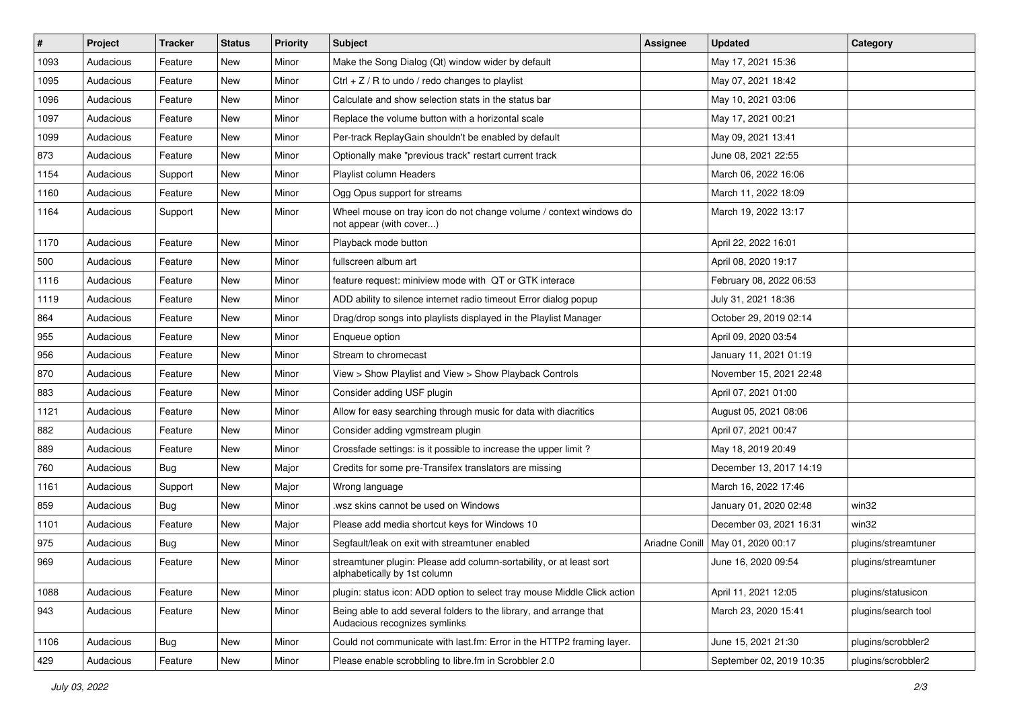| $\vert$ # | Project   | <b>Tracker</b> | <b>Status</b> | <b>Priority</b> | <b>Subject</b>                                                                                      | <b>Assignee</b> | <b>Updated</b>           | Category            |
|-----------|-----------|----------------|---------------|-----------------|-----------------------------------------------------------------------------------------------------|-----------------|--------------------------|---------------------|
| 1093      | Audacious | Feature        | New           | Minor           | Make the Song Dialog (Qt) window wider by default                                                   |                 | May 17, 2021 15:36       |                     |
| 1095      | Audacious | Feature        | <b>New</b>    | Minor           | Ctrl + $Z$ / R to undo / redo changes to playlist                                                   |                 | May 07, 2021 18:42       |                     |
| 1096      | Audacious | Feature        | New           | Minor           | Calculate and show selection stats in the status bar                                                |                 | May 10, 2021 03:06       |                     |
| 1097      | Audacious | Feature        | New           | Minor           | Replace the volume button with a horizontal scale                                                   |                 | May 17, 2021 00:21       |                     |
| 1099      | Audacious | Feature        | <b>New</b>    | Minor           | Per-track ReplayGain shouldn't be enabled by default                                                |                 | May 09, 2021 13:41       |                     |
| 873       | Audacious | Feature        | New           | Minor           | Optionally make "previous track" restart current track                                              |                 | June 08, 2021 22:55      |                     |
| 1154      | Audacious | Support        | <b>New</b>    | Minor           | Playlist column Headers                                                                             |                 | March 06, 2022 16:06     |                     |
| 1160      | Audacious | Feature        | New           | Minor           | Ogg Opus support for streams                                                                        |                 | March 11, 2022 18:09     |                     |
| 1164      | Audacious | Support        | New           | Minor           | Wheel mouse on tray icon do not change volume / context windows do<br>not appear (with cover)       |                 | March 19, 2022 13:17     |                     |
| 1170      | Audacious | Feature        | New           | Minor           | Playback mode button                                                                                |                 | April 22, 2022 16:01     |                     |
| 500       | Audacious | Feature        | New           | Minor           | fullscreen album art                                                                                |                 | April 08, 2020 19:17     |                     |
| 1116      | Audacious | Feature        | New           | Minor           | feature request: miniview mode with QT or GTK interace                                              |                 | February 08, 2022 06:53  |                     |
| 1119      | Audacious | Feature        | New           | Minor           | ADD ability to silence internet radio timeout Error dialog popup                                    |                 | July 31, 2021 18:36      |                     |
| 864       | Audacious | Feature        | New           | Minor           | Drag/drop songs into playlists displayed in the Playlist Manager                                    |                 | October 29, 2019 02:14   |                     |
| 955       | Audacious | Feature        | New           | Minor           | Enqueue option                                                                                      |                 | April 09, 2020 03:54     |                     |
| 956       | Audacious | Feature        | New           | Minor           | Stream to chromecast                                                                                |                 | January 11, 2021 01:19   |                     |
| 870       | Audacious | Feature        | New           | Minor           | View > Show Playlist and View > Show Playback Controls                                              |                 | November 15, 2021 22:48  |                     |
| 883       | Audacious | Feature        | New           | Minor           | Consider adding USF plugin                                                                          |                 | April 07, 2021 01:00     |                     |
| 1121      | Audacious | Feature        | New           | Minor           | Allow for easy searching through music for data with diacritics                                     |                 | August 05, 2021 08:06    |                     |
| 882       | Audacious | Feature        | New           | Minor           | Consider adding vgmstream plugin                                                                    |                 | April 07, 2021 00:47     |                     |
| 889       | Audacious | Feature        | New           | Minor           | Crossfade settings: is it possible to increase the upper limit?                                     |                 | May 18, 2019 20:49       |                     |
| 760       | Audacious | <b>Bug</b>     | <b>New</b>    | Major           | Credits for some pre-Transifex translators are missing                                              |                 | December 13, 2017 14:19  |                     |
| 1161      | Audacious | Support        | New           | Major           | Wrong language                                                                                      |                 | March 16, 2022 17:46     |                     |
| 859       | Audacious | Bug            | New           | Minor           | wsz skins cannot be used on Windows                                                                 |                 | January 01, 2020 02:48   | win32               |
| 1101      | Audacious | Feature        | New           | Major           | Please add media shortcut keys for Windows 10                                                       |                 | December 03, 2021 16:31  | win32               |
| 975       | Audacious | <b>Bug</b>     | New           | Minor           | Segfault/leak on exit with streamtuner enabled                                                      | Ariadne Conill  | May 01, 2020 00:17       | plugins/streamtuner |
| 969       | Audacious | Feature        | <b>New</b>    | Minor           | streamtuner plugin: Please add column-sortability, or at least sort<br>alphabetically by 1st column |                 | June 16, 2020 09:54      | plugins/streamtuner |
| 1088      | Audacious | Feature        | New           | Minor           | plugin: status icon: ADD option to select tray mouse Middle Click action                            |                 | April 11, 2021 12:05     | plugins/statusicon  |
| 943       | Audacious | Feature        | New           | Minor           | Being able to add several folders to the library, and arrange that<br>Audacious recognizes symlinks |                 | March 23, 2020 15:41     | plugins/search tool |
| 1106      | Audacious | <b>Bug</b>     | New           | Minor           | Could not communicate with last.fm: Error in the HTTP2 framing layer.                               |                 | June 15, 2021 21:30      | plugins/scrobbler2  |
| 429       | Audacious | Feature        | New           | Minor           | Please enable scrobbling to libre.fm in Scrobbler 2.0                                               |                 | September 02, 2019 10:35 | plugins/scrobbler2  |